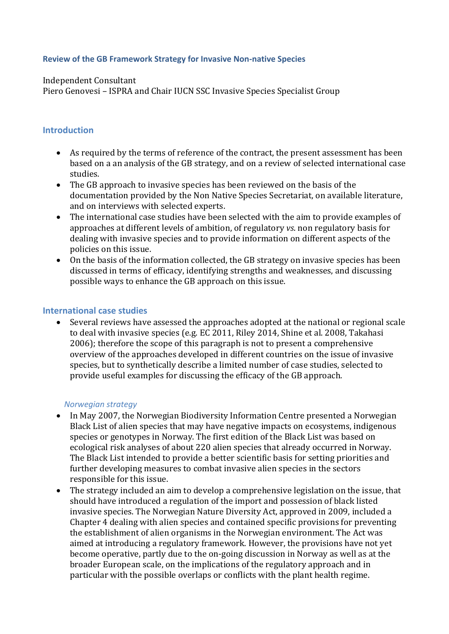#### **Review of the GB Framework Strategy for Invasive Non-native Species**

#### Independent Consultant

Piero Genovesi – ISPRA and Chair IUCN SSC Invasive Species Specialist Group

#### **Introduction**

- As required by the terms of reference of the contract, the present assessment has been based on a an analysis of the GB strategy, and on a review of selected international case studies.
- The GB approach to invasive species has been reviewed on the basis of the documentation provided by the Non Native Species Secretariat, on available literature, and on interviews with selected experts.
- The international case studies have been selected with the aim to provide examples of approaches at different levels of ambition, of regulatory *vs*. non regulatory basis for dealing with invasive species and to provide information on different aspects of the policies on this issue.
- On the basis of the information collected, the GB strategy on invasive species has been discussed in terms of efficacy, identifying strengths and weaknesses, and discussing possible ways to enhance the GB approach on this issue.

#### **International case studies**

 Several reviews have assessed the approaches adopted at the national or regional scale to deal with invasive species (e.g. EC 2011, Riley 2014, Shine et al. 2008, Takahasi 2006); therefore the scope of this paragraph is not to present a comprehensive overview of the approaches developed in different countries on the issue of invasive species, but to synthetically describe a limited number of case studies, selected to provide useful examples for discussing the efficacy of the GB approach.

#### *Norwegian strategy*

- In May 2007, the Norwegian Biodiversity Information Centre presented a Norwegian Black List of alien species that may have negative impacts on ecosystems, indigenous species or genotypes in Norway. The first edition of the Black List was based on ecological risk analyses of about 220 alien species that already occurred in Norway. The Black List intended to provide a better scientific basis for setting priorities and further developing measures to combat invasive alien species in the sectors responsible for this issue.
- The strategy included an aim to develop a comprehensive legislation on the issue, that should have introduced a regulation of the import and possession of black listed invasive species. The Norwegian Nature Diversity Act, approved in 2009, included a Chapter 4 dealing with alien species and contained specific provisions for preventing the establishment of alien organisms in the Norwegian environment. The Act was aimed at introducing a regulatory framework. However, the provisions have not yet become operative, partly due to the on-going discussion in Norway as well as at the broader European scale, on the implications of the regulatory approach and in particular with the possible overlaps or conflicts with the plant health regime.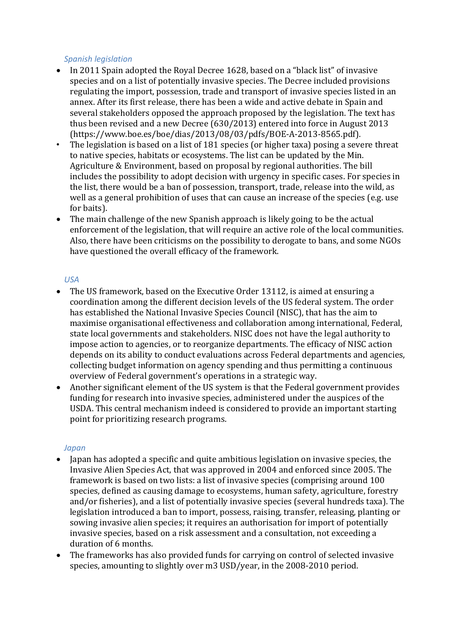#### *Spanish legislation*

- In 2011 Spain adopted the Royal Decree 1628, based on a "black list" of invasive species and on a list of potentially invasive species. The Decree included provisions regulating the import, possession, trade and transport of invasive species listed in an annex. After its first release, there has been a wide and active debate in Spain and several stakeholders opposed the approach proposed by the legislation. The text has thus been revised and a new Decree (630/2013) entered into force in August 2013 [\(https://www.boe.es/boe/dias/2013/08/03/pdfs/BOE-A-2013-8565.pdf\)](https://www.boe.es/boe/dias/2013/08/03/pdfs/BOE-A-2013-8565.pdf).
- The legislation is based on a list of 181 species (or higher taxa) posing a severe threat to native species, habitats or ecosystems. The list can be updated by the Min. Agriculture & Environment, based on proposal by regional authorities. The bill includes the possibility to adopt decision with urgency in specific cases. For species in the list, there would be a ban of possession, transport, trade, release into the wild, as well as a general prohibition of uses that can cause an increase of the species (e.g. use for baits).
- The main challenge of the new Spanish approach is likely going to be the actual enforcement of the legislation, that will require an active role of the local communities. Also, there have been criticisms on the possibility to derogate to bans, and some NGOs have questioned the overall efficacy of the framework.

### *USA*

- The US framework, based on the Executive Order 13112, is aimed at ensuring a coordination among the different decision levels of the US federal system. The order has established the National Invasive Species Council (NISC), that has the aim to maximise organisational effectiveness and collaboration among international, Federal, state local governments and stakeholders. NISC does not have the legal authority to impose action to agencies, or to reorganize departments. The efficacy of NISC action depends on its ability to conduct evaluations across Federal departments and agencies, collecting budget information on agency spending and thus permitting a continuous overview of Federal government's operations in a strategic way.
- Another significant element of the US system is that the Federal government provides funding for research into invasive species, administered under the auspices of the USDA. This central mechanism indeed is considered to provide an important starting point for prioritizing research programs.

### *Japan*

- Japan has adopted a specific and quite ambitious legislation on invasive species, the Invasive Alien Species Act, that was approved in 2004 and enforced since 2005. The framework is based on two lists: a list of invasive species (comprising around 100 species, defined as causing damage to ecosystems, human safety, agriculture, forestry and/or fisheries), and a list of potentially invasive species (several hundreds taxa). The legislation introduced a ban to import, possess, raising, transfer, releasing, planting or sowing invasive alien species; it requires an authorisation for import of potentially invasive species, based on a risk assessment and a consultation, not exceeding a duration of 6 months.
- The frameworks has also provided funds for carrying on control of selected invasive species, amounting to slightly over m3 USD/year, in the 2008-2010 period.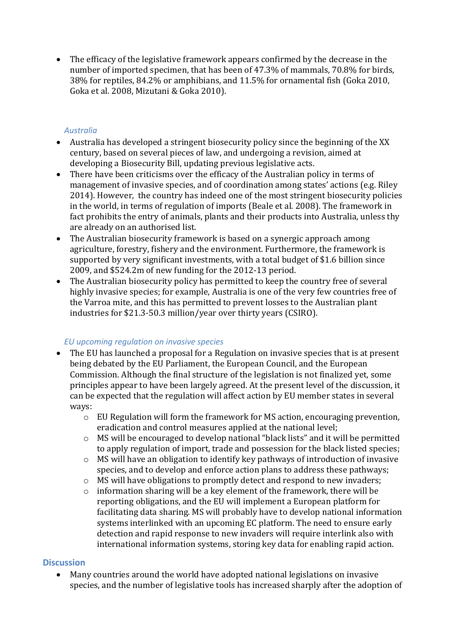The efficacy of the legislative framework appears confirmed by the decrease in the number of imported specimen, that has been of 47.3% of mammals, 70.8% for birds, 38% for reptiles, 84.2% or amphibians, and 11.5% for ornamental fish (Goka 2010, Goka et al. 2008, Mizutani & Goka 2010).

## *Australia*

- Australia has developed a stringent biosecurity policy since the beginning of the XX century, based on several pieces of law, and undergoing a revision, aimed at developing a Biosecurity Bill, updating previous legislative acts.
- There have been criticisms over the efficacy of the Australian policy in terms of management of invasive species, and of coordination among states' actions (e.g. Riley 2014). However, the country has indeed one of the most stringent biosecurity policies in the world, in terms of regulation of imports (Beale et al. 2008). The framework in fact prohibits the entry of animals, plants and their products into Australia, unless thy are already on an authorised list.
- The Australian biosecurity framework is based on a synergic approach among agriculture, forestry, fishery and the environment. Furthermore, the framework is supported by very significant investments, with a total budget of \$1.6 billion since 2009, and \$524.2m of new funding for the 2012-13 period.
- The Australian biosecurity policy has permitted to keep the country free of several highly invasive species; for example, Australia is one of the very few countries free of the Varroa mite, and this has permitted to prevent losses to the Australian plant industries for \$21.3-50.3 million/year over thirty years (CSIRO).

# *EU upcoming regulation on invasive species*

- The EU has launched a proposal for a Regulation on invasive species that is at present being debated by the EU Parliament, the European Council, and the European Commission. Although the final structure of the legislation is not finalized yet, some principles appear to have been largely agreed. At the present level of the discussion, it can be expected that the regulation will affect action by EU member states in several ways:
	- o EU Regulation will form the framework for MS action, encouraging prevention, eradication and control measures applied at the national level;
	- o MS will be encouraged to develop national "black lists" and it will be permitted to apply regulation of import, trade and possession for the black listed species;
	- o MS will have an obligation to identify key pathways of introduction of invasive species, and to develop and enforce action plans to address these pathways;
	- o MS will have obligations to promptly detect and respond to new invaders;
	- o information sharing will be a key element of the framework, there will be reporting obligations, and the EU will implement a European platform for facilitating data sharing. MS will probably have to develop national information systems interlinked with an upcoming EC platform. The need to ensure early detection and rapid response to new invaders will require interlink also with international information systems, storing key data for enabling rapid action.

# **Discussion**

 Many countries around the world have adopted national legislations on invasive species, and the number of legislative tools has increased sharply after the adoption of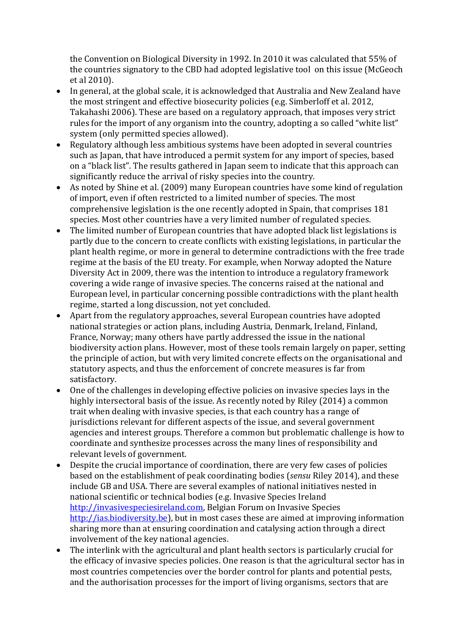the Convention on Biological Diversity in 1992. In 2010 it was calculated that 55% of the countries signatory to the CBD had adopted legislative tool on this issue (McGeoch et al 2010).

- In general, at the global scale, it is acknowledged that Australia and New Zealand have the most stringent and effective biosecurity policies (e.g. Simberloff et al. 2012, Takahashi 2006). These are based on a regulatory approach, that imposes very strict rules for the import of any organism into the country, adopting a so called "white list" system (only permitted species allowed).
- Regulatory although less ambitious systems have been adopted in several countries such as Japan, that have introduced a permit system for any import of species, based on a "black list". The results gathered in Japan seem to indicate that this approach can significantly reduce the arrival of risky species into the country.
- As noted by Shine et al. (2009) many European countries have some kind of regulation of import, even if often restricted to a limited number of species. The most comprehensive legislation is the one recently adopted in Spain, that comprises 181 species. Most other countries have a very limited number of regulated species.
- The limited number of European countries that have adopted black list legislations is partly due to the concern to create conflicts with existing legislations, in particular the plant health regime, or more in general to determine contradictions with the free trade regime at the basis of the EU treaty. For example, when Norway adopted the Nature Diversity Act in 2009, there was the intention to introduce a regulatory framework covering a wide range of invasive species. The concerns raised at the national and European level, in particular concerning possible contradictions with the plant health regime, started a long discussion, not yet concluded.
- Apart from the regulatory approaches, several European countries have adopted national strategies or action plans, including Austria, Denmark, Ireland, Finland, France, Norway; many others have partly addressed the issue in the national biodiversity action plans. However, most of these tools remain largely on paper, setting the principle of action, but with very limited concrete effects on the organisational and statutory aspects, and thus the enforcement of concrete measures is far from satisfactory.
- One of the challenges in developing effective policies on invasive species lays in the highly intersectoral basis of the issue. As recently noted by Riley (2014) a common trait when dealing with invasive species, is that each country has a range of jurisdictions relevant for different aspects of the issue, and several government agencies and interest groups. Therefore a common but problematic challenge is how to coordinate and synthesize processes across the many lines of responsibility and relevant levels of government.
- Despite the crucial importance of coordination, there are very few cases of policies based on the establishment of peak coordinating bodies (*sensu* Riley 2014), and these include GB and USA. There are several examples of national initiatives nested in national scientific or technical bodies (e.g. Invasive Species Ireland [http://invasivespeciesireland.com,](http://invasivespeciesireland.com/) Belgian Forum on Invasive Species [http://ias.biodiversity.be\)](http://ias.biodiversity.be/), but in most cases these are aimed at improving information sharing more than at ensuring coordination and catalysing action through a direct involvement of the key national agencies.
- The interlink with the agricultural and plant health sectors is particularly crucial for the efficacy of invasive species policies. One reason is that the agricultural sector has in most countries competencies over the border control for plants and potential pests, and the authorisation processes for the import of living organisms, sectors that are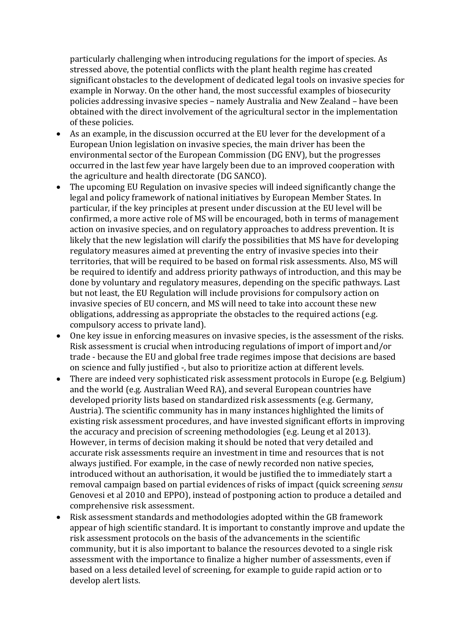particularly challenging when introducing regulations for the import of species. As stressed above, the potential conflicts with the plant health regime has created significant obstacles to the development of dedicated legal tools on invasive species for example in Norway. On the other hand, the most successful examples of biosecurity policies addressing invasive species – namely Australia and New Zealand – have been obtained with the direct involvement of the agricultural sector in the implementation of these policies.

- As an example, in the discussion occurred at the EU lever for the development of a European Union legislation on invasive species, the main driver has been the environmental sector of the European Commission (DG ENV), but the progresses occurred in the last few year have largely been due to an improved cooperation with the agriculture and health directorate (DG SANCO).
- The upcoming EU Regulation on invasive species will indeed significantly change the legal and policy framework of national initiatives by European Member States. In particular, if the key principles at present under discussion at the EU level will be confirmed, a more active role of MS will be encouraged, both in terms of management action on invasive species, and on regulatory approaches to address prevention. It is likely that the new legislation will clarify the possibilities that MS have for developing regulatory measures aimed at preventing the entry of invasive species into their territories, that will be required to be based on formal risk assessments. Also, MS will be required to identify and address priority pathways of introduction, and this may be done by voluntary and regulatory measures, depending on the specific pathways. Last but not least, the EU Regulation will include provisions for compulsory action on invasive species of EU concern, and MS will need to take into account these new obligations, addressing as appropriate the obstacles to the required actions (e.g. compulsory access to private land).
- One key issue in enforcing measures on invasive species, is the assessment of the risks. Risk assessment is crucial when introducing regulations of import of import and/or trade - because the EU and global free trade regimes impose that decisions are based on science and fully justified -, but also to prioritize action at different levels.
- There are indeed very sophisticated risk assessment protocols in Europe (e.g. Belgium) and the world (e.g. Australian Weed RA), and several European countries have developed priority lists based on standardized risk assessments (e.g. Germany, Austria). The scientific community has in many instances highlighted the limits of existing risk assessment procedures, and have invested significant efforts in improving the accuracy and precision of screening methodologies (e.g. Leung et al 2013). However, in terms of decision making it should be noted that very detailed and accurate risk assessments require an investment in time and resources that is not always justified. For example, in the case of newly recorded non native species, introduced without an authorisation, it would be justified the to immediately start a removal campaign based on partial evidences of risks of impact (quick screening *sensu*  Genovesi et al 2010 and EPPO), instead of postponing action to produce a detailed and comprehensive risk assessment.
- Risk assessment standards and methodologies adopted within the GB framework appear of high scientific standard. It is important to constantly improve and update the risk assessment protocols on the basis of the advancements in the scientific community, but it is also important to balance the resources devoted to a single risk assessment with the importance to finalize a higher number of assessments, even if based on a less detailed level of screening, for example to guide rapid action or to develop alert lists.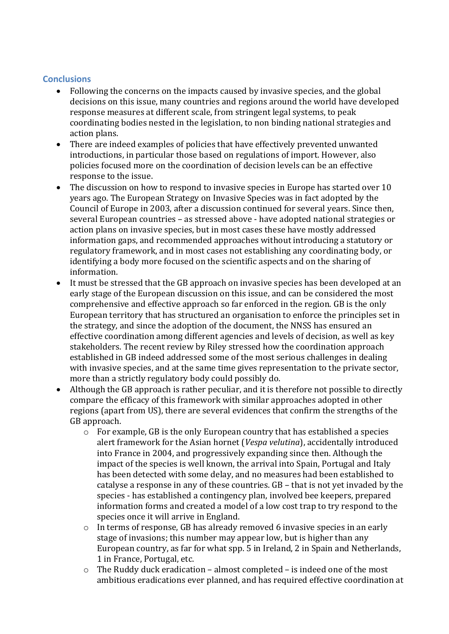### **Conclusions**

- Following the concerns on the impacts caused by invasive species, and the global decisions on this issue, many countries and regions around the world have developed response measures at different scale, from stringent legal systems, to peak coordinating bodies nested in the legislation, to non binding national strategies and action plans.
- There are indeed examples of policies that have effectively prevented unwanted introductions, in particular those based on regulations of import. However, also policies focused more on the coordination of decision levels can be an effective response to the issue.
- The discussion on how to respond to invasive species in Europe has started over 10 years ago. The European Strategy on Invasive Species was in fact adopted by the Council of Europe in 2003, after a discussion continued for several years. Since then, several European countries – as stressed above - have adopted national strategies or action plans on invasive species, but in most cases these have mostly addressed information gaps, and recommended approaches without introducing a statutory or regulatory framework, and in most cases not establishing any coordinating body, or identifying a body more focused on the scientific aspects and on the sharing of information.
- It must be stressed that the GB approach on invasive species has been developed at an early stage of the European discussion on this issue, and can be considered the most comprehensive and effective approach so far enforced in the region. GB is the only European territory that has structured an organisation to enforce the principles set in the strategy, and since the adoption of the document, the NNSS has ensured an effective coordination among different agencies and levels of decision, as well as key stakeholders. The recent review by Riley stressed how the coordination approach established in GB indeed addressed some of the most serious challenges in dealing with invasive species, and at the same time gives representation to the private sector, more than a strictly regulatory body could possibly do.
- Although the GB approach is rather peculiar, and it is therefore not possible to directly compare the efficacy of this framework with similar approaches adopted in other regions (apart from US), there are several evidences that confirm the strengths of the GB approach.
	- o For example, GB is the only European country that has established a species alert framework for the Asian hornet (*Vespa velutina*), accidentally introduced into France in 2004, and progressively expanding since then. Although the impact of the species is well known, the arrival into Spain, Portugal and Italy has been detected with some delay, and no measures had been established to catalyse a response in any of these countries. GB – that is not yet invaded by the species - has established a contingency plan, involved bee keepers, prepared information forms and created a model of a low cost trap to try respond to the species once it will arrive in England.
	- o In terms of response, GB has already removed 6 invasive species in an early stage of invasions; this number may appear low, but is higher than any European country, as far for what spp. 5 in Ireland, 2 in Spain and Netherlands, 1 in France, Portugal, etc.
	- o The Ruddy duck eradication almost completed is indeed one of the most ambitious eradications ever planned, and has required effective coordination at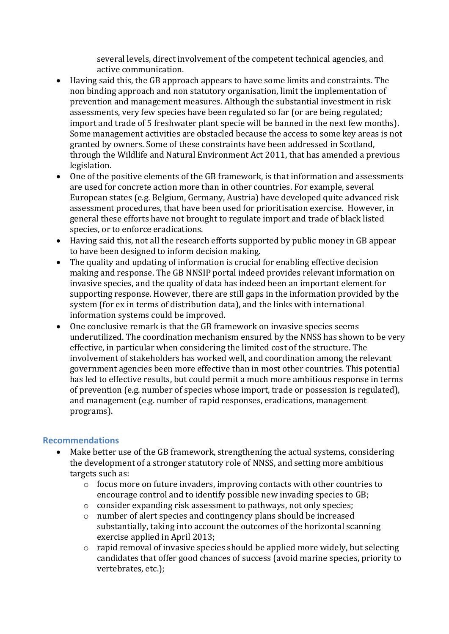several levels, direct involvement of the competent technical agencies, and active communication.

- Having said this, the GB approach appears to have some limits and constraints. The non binding approach and non statutory organisation, limit the implementation of prevention and management measures. Although the substantial investment in risk assessments, very few species have been regulated so far (or are being regulated; import and trade of 5 freshwater plant specie will be banned in the next few months). Some management activities are obstacled because the access to some key areas is not granted by owners. Some of these constraints have been addressed in Scotland, through the [Wildlife and Natural Environment Act 2011,](http://www.legislation.gov.uk/asp/2011/6/contents) that has amended a previous legislation.
- One of the positive elements of the GB framework, is that information and assessments are used for concrete action more than in other countries. For example, several European states (e.g. Belgium, Germany, Austria) have developed quite advanced risk assessment procedures, that have been used for prioritisation exercise. However, in general these efforts have not brought to regulate import and trade of black listed species, or to enforce eradications.
- Having said this, not all the research efforts supported by public money in GB appear to have been designed to inform decision making.
- The quality and updating of information is crucial for enabling effective decision making and response. The GB NNSIP portal indeed provides relevant information on invasive species, and the quality of data has indeed been an important element for supporting response. However, there are still gaps in the information provided by the system (for ex in terms of distribution data), and the links with international information systems could be improved.
- One conclusive remark is that the GB framework on invasive species seems underutilized. The coordination mechanism ensured by the NNSS has shown to be very effective, in particular when considering the limited cost of the structure. The involvement of stakeholders has worked well, and coordination among the relevant government agencies been more effective than in most other countries. This potential has led to effective results, but could permit a much more ambitious response in terms of prevention (e.g. number of species whose import, trade or possession is regulated), and management (e.g. number of rapid responses, eradications, management programs).

### **Recommendations**

- Make better use of the GB framework, strengthening the actual systems, considering the development of a stronger statutory role of NNSS, and setting more ambitious targets such as:
	- o focus more on future invaders, improving contacts with other countries to encourage control and to identify possible new invading species to GB;
	- o consider expanding risk assessment to pathways, not only species;
	- o number of alert species and contingency plans should be increased substantially, taking into account the outcomes of the horizontal scanning exercise applied in April 2013;
	- o rapid removal of invasive species should be applied more widely, but selecting candidates that offer good chances of success (avoid marine species, priority to vertebrates, etc.);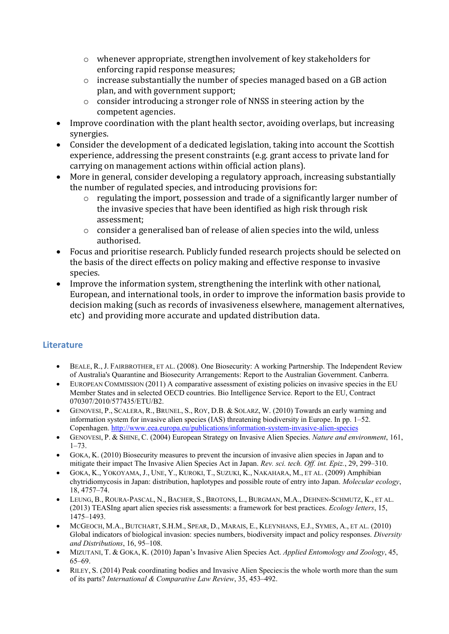- $\circ$  whenever appropriate, strengthen involvement of key stakeholders for enforcing rapid response measures;
- o increase substantially the number of species managed based on a GB action plan, and with government support;
- o consider introducing a stronger role of NNSS in steering action by the competent agencies.
- Improve coordination with the plant health sector, avoiding overlaps, but increasing synergies.
- Consider the development of a dedicated legislation, taking into account the Scottish experience, addressing the present constraints (e.g. grant access to private land for carrying on management actions within official action plans).
- More in general, consider developing a regulatory approach, increasing substantially the number of regulated species, and introducing provisions for:
	- o regulating the import, possession and trade of a significantly larger number of the invasive species that have been identified as high risk through risk assessment;
	- $\circ$  consider a generalised ban of release of alien species into the wild, unless authorised.
- Focus and prioritise research. Publicly funded research projects should be selected on the basis of the direct effects on policy making and effective response to invasive species.
- Improve the information system, strengthening the interlink with other national, European, and international tools, in order to improve the information basis provide to decision making (such as records of invasiveness elsewhere, management alternatives, etc) and providing more accurate and updated distribution data.

# **Literature**

- BEALE, R., J. FAIRBROTHER, ET AL. (2008). One Biosecurity: A working Partnership. The Independent Review of Australia's Quarantine and Biosecurity Arrangements: Report to the Australian Government. Canberra.
- EUROPEAN COMMISSION (2011) A comparative assessment of existing policies on invasive species in the EU Member States and in selected OECD countries. Bio Intelligence Service. Report to the EU, Contract 070307/2010/577435/ETU/B2.
- GENOVESI, P., SCALERA, R., BRUNEL, S., ROY, D.B. & SOLARZ, W. (2010) Towards an early warning and information system for invasive alien species (IAS) threatening biodiversity in Europe. In pp. 1–52. Copenhagen[. http://www.eea.europa.eu/publications/information-system-invasive-alien-species](http://www.eea.europa.eu/publications/information-system-invasive-alien-species)
- GENOVESI, P. & SHINE, C. (2004) European Strategy on Invasive Alien Species. *Nature and environment*, 161,  $1 - 73$ .
- GOKA, K. (2010) Biosecurity measures to prevent the incursion of invasive alien species in Japan and to mitigate their impact The Invasive Alien Species Act in Japan. *Rev. sci. tech. Off. int. Epiz.*, 29, 299–310.
- GOKA, K., YOKOYAMA, J., UNE, Y., KUROKI, T., SUZUKI, K., NAKAHARA, M., ET AL. (2009) Amphibian chytridiomycosis in Japan: distribution, haplotypes and possible route of entry into Japan. *Molecular ecology*, 18, 4757–74.
- LEUNG, B., ROURA-PASCAL, N., BACHER, S., BROTONS, L., BURGMAN, M.A., DEHNEN-SCHMUTZ, K., ET AL. (2013) TEASIng apart alien species risk assessments: a framework for best practices. *Ecology letters*, 15, 1475–1493.
- MCGEOCH, M.A., BUTCHART, S.H.M., SPEAR, D., MARAIS, E., KLEYNHANS, E.J., SYMES, A., ET AL. (2010) Global indicators of biological invasion: species numbers, biodiversity impact and policy responses. *Diversity and Distributions*, 16, 95–108.
- MIZUTANI, T. & GOKA, K. (2010) Japan's Invasive Alien Species Act. *Applied Entomology and Zoology*, 45, 65–69.
- RILEY, S. (2014) Peak coordinating bodies and Invasive Alien Species:is the whole worth more than the sum of its parts? *International & Comparative Law Review*, 35, 453–492.